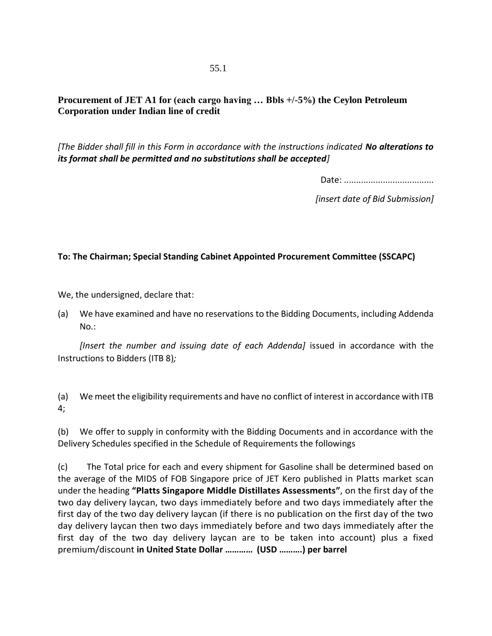## **Procurement of JET A1 for (each cargo having … Bbls +/-5%) the Ceylon Petroleum Corporation under Indian line of credit**

*[The Bidder shall fill in this Form in accordance with the instructions indicated No alterations to its format shall be permitted and no substitutions shall be accepted]*

Date: .....................................

*[insert date of Bid Submission]*

## **To: The Chairman; Special Standing Cabinet Appointed Procurement Committee (SSCAPC)**

We, the undersigned, declare that:

(a) We have examined and have no reservations to the Bidding Documents, including Addenda No.:

*[Insert the number and issuing date of each Addenda]* issued in accordance with the Instructions to Bidders (ITB 8)*;*

(a) We meet the eligibility requirements and have no conflict of interest in accordance with ITB 4;

(b) We offer to supply in conformity with the Bidding Documents and in accordance with the Delivery Schedules specified in the Schedule of Requirements the followings

(c) The Total price for each and every shipment for Gasoline shall be determined based on the average of the MIDS of FOB Singapore price of JET Kero published in Platts market scan under the heading **"Platts Singapore Middle Distillates Assessments"**, on the first day of the two day delivery laycan, two days immediately before and two days immediately after the first day of the two day delivery laycan (if there is no publication on the first day of the two day delivery laycan then two days immediately before and two days immediately after the first day of the two day delivery laycan are to be taken into account) plus a fixed premium/discount **in United State Dollar ………… (USD ……….) per barrel**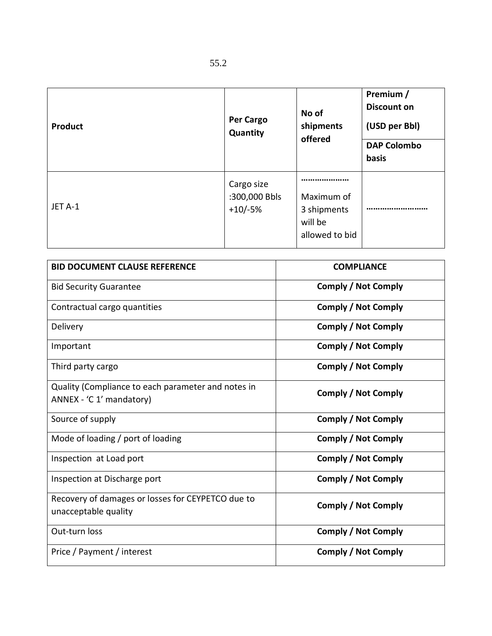| <b>Product</b> | <b>Per Cargo</b><br>Quantity             | No of<br>shipments<br>offered                          | Premium /<br><b>Discount on</b><br>(USD per Bbl)<br><b>DAP Colombo</b><br>basis |
|----------------|------------------------------------------|--------------------------------------------------------|---------------------------------------------------------------------------------|
| JET A-1        | Cargo size<br>:300,000 Bbls<br>$+10/-5%$ | Maximum of<br>3 shipments<br>will be<br>allowed to bid |                                                                                 |

| <b>BID DOCUMENT CLAUSE REFERENCE</b>                                           | <b>COMPLIANCE</b>          |
|--------------------------------------------------------------------------------|----------------------------|
| <b>Bid Security Guarantee</b>                                                  | <b>Comply / Not Comply</b> |
| Contractual cargo quantities                                                   | <b>Comply / Not Comply</b> |
| Delivery                                                                       | <b>Comply / Not Comply</b> |
| Important                                                                      | Comply / Not Comply        |
| Third party cargo                                                              | Comply / Not Comply        |
| Quality (Compliance to each parameter and notes in<br>ANNEX - 'C 1' mandatory) | Comply / Not Comply        |
| Source of supply                                                               | <b>Comply / Not Comply</b> |
| Mode of loading / port of loading                                              | <b>Comply / Not Comply</b> |
| Inspection at Load port                                                        | Comply / Not Comply        |
| Inspection at Discharge port                                                   | <b>Comply / Not Comply</b> |
| Recovery of damages or losses for CEYPETCO due to<br>unacceptable quality      | <b>Comply / Not Comply</b> |
| Out-turn loss                                                                  | <b>Comply / Not Comply</b> |
| Price / Payment / interest                                                     | <b>Comply / Not Comply</b> |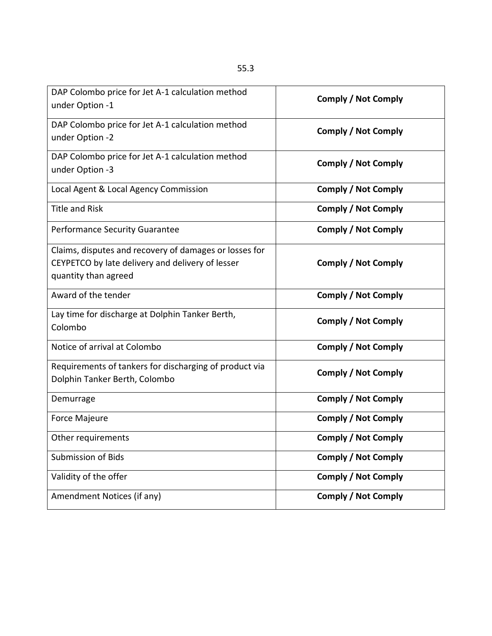| DAP Colombo price for Jet A-1 calculation method<br>under Option -1                                                                | <b>Comply / Not Comply</b> |  |
|------------------------------------------------------------------------------------------------------------------------------------|----------------------------|--|
| DAP Colombo price for Jet A-1 calculation method<br>under Option -2                                                                | Comply / Not Comply        |  |
| DAP Colombo price for Jet A-1 calculation method<br>under Option -3                                                                | <b>Comply / Not Comply</b> |  |
| Local Agent & Local Agency Commission                                                                                              | Comply / Not Comply        |  |
| <b>Title and Risk</b>                                                                                                              | <b>Comply / Not Comply</b> |  |
| Performance Security Guarantee                                                                                                     | <b>Comply / Not Comply</b> |  |
| Claims, disputes and recovery of damages or losses for<br>CEYPETCO by late delivery and delivery of lesser<br>quantity than agreed | <b>Comply / Not Comply</b> |  |
| Award of the tender                                                                                                                | <b>Comply / Not Comply</b> |  |
| Lay time for discharge at Dolphin Tanker Berth,<br>Colombo                                                                         | <b>Comply / Not Comply</b> |  |
| Notice of arrival at Colombo                                                                                                       | <b>Comply / Not Comply</b> |  |
| Requirements of tankers for discharging of product via<br>Dolphin Tanker Berth, Colombo                                            | <b>Comply / Not Comply</b> |  |
| Demurrage                                                                                                                          | <b>Comply / Not Comply</b> |  |
| <b>Force Majeure</b>                                                                                                               | <b>Comply / Not Comply</b> |  |
| Other requirements                                                                                                                 | <b>Comply / Not Comply</b> |  |
| <b>Submission of Bids</b>                                                                                                          | <b>Comply / Not Comply</b> |  |
| Validity of the offer                                                                                                              | <b>Comply / Not Comply</b> |  |
| Amendment Notices (if any)                                                                                                         | <b>Comply / Not Comply</b> |  |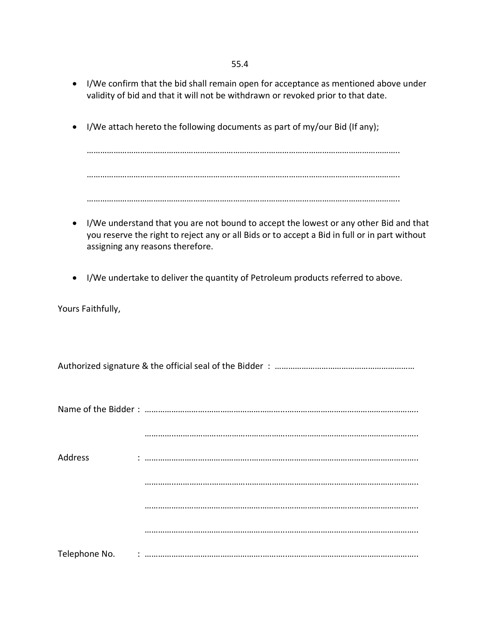55.4

- I/We confirm that the bid shall remain open for acceptance as mentioned above under validity of bid and that it will not be withdrawn or revoked prior to that date.
- I/We attach hereto the following documents as part of my/our Bid (If any);

……………………………………………………………………….………………………………………………….. ……………………………………………………………………….………………………………………………….. ……………………………………………………………………….…………………………………………………..

- I/We understand that you are not bound to accept the lowest or any other Bid and that you reserve the right to reject any or all Bids or to accept a Bid in full or in part without assigning any reasons therefore.
- I/We undertake to deliver the quantity of Petroleum products referred to above.

Yours Faithfully,

Authorized signature & the official seal of the Bidder : ……………………………………………………………

| Address |  |
|---------|--|
|         |  |
|         |  |
|         |  |
|         |  |
|         |  |